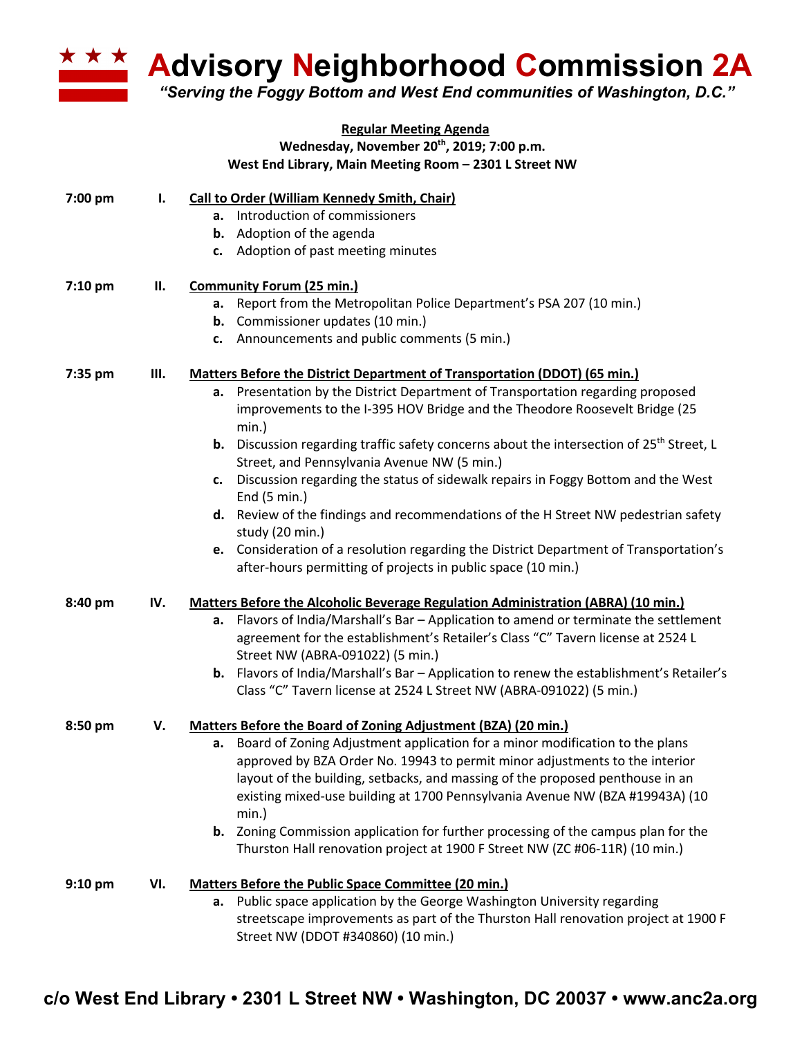

**Advisory Neighborhood Commission 2A**

*"Serving the Foggy Bottom and West End communities of Washington, D.C."*

|         |     | <b>Regular Meeting Agenda</b>                                                                     |
|---------|-----|---------------------------------------------------------------------------------------------------|
|         |     | Wednesday, November 20 <sup>th</sup> , 2019; 7:00 p.m.                                            |
|         |     | West End Library, Main Meeting Room - 2301 L Street NW                                            |
| 7:00 pm | Ι.  | Call to Order (William Kennedy Smith, Chair)                                                      |
|         |     | a. Introduction of commissioners                                                                  |
|         |     | <b>b.</b> Adoption of the agenda                                                                  |
|         |     | c. Adoption of past meeting minutes                                                               |
| 7:10 pm | П.  | <b>Community Forum (25 min.)</b>                                                                  |
|         |     | Report from the Metropolitan Police Department's PSA 207 (10 min.)<br>а.                          |
|         |     | <b>b.</b> Commissioner updates (10 min.)                                                          |
|         |     | c. Announcements and public comments (5 min.)                                                     |
| 7:35 pm | Ш.  | Matters Before the District Department of Transportation (DDOT) (65 min.)                         |
|         |     | a. Presentation by the District Department of Transportation regarding proposed                   |
|         |     | improvements to the I-395 HOV Bridge and the Theodore Roosevelt Bridge (25<br>min.)               |
|         |     | <b>b.</b> Discussion regarding traffic safety concerns about the intersection of $25th$ Street, L |
|         |     | Street, and Pennsylvania Avenue NW (5 min.)                                                       |
|         |     | c. Discussion regarding the status of sidewalk repairs in Foggy Bottom and the West               |
|         |     | End (5 min.)                                                                                      |
|         |     | d. Review of the findings and recommendations of the H Street NW pedestrian safety                |
|         |     | study (20 min.)                                                                                   |
|         |     | e. Consideration of a resolution regarding the District Department of Transportation's            |
|         |     | after-hours permitting of projects in public space (10 min.)                                      |
| 8:40 pm | IV. | <b>Matters Before the Alcoholic Beverage Regulation Administration (ABRA) (10 min.)</b>           |
|         |     | a. Flavors of India/Marshall's Bar - Application to amend or terminate the settlement             |
|         |     | agreement for the establishment's Retailer's Class "C" Tavern license at 2524 L                   |
|         |     | Street NW (ABRA-091022) (5 min.)                                                                  |
|         |     | <b>b.</b> Flavors of India/Marshall's Bar - Application to renew the establishment's Retailer's   |
|         |     | Class "C" Tavern license at 2524 L Street NW (ABRA-091022) (5 min.)                               |
| 8:50 pm | V.  | Matters Before the Board of Zoning Adjustment (BZA) (20 min.)                                     |
|         |     | a. Board of Zoning Adjustment application for a minor modification to the plans                   |
|         |     | approved by BZA Order No. 19943 to permit minor adjustments to the interior                       |
|         |     | layout of the building, setbacks, and massing of the proposed penthouse in an                     |
|         |     | existing mixed-use building at 1700 Pennsylvania Avenue NW (BZA #19943A) (10                      |
|         |     | min.)                                                                                             |
|         |     | <b>b.</b> Zoning Commission application for further processing of the campus plan for the         |
|         |     | Thurston Hall renovation project at 1900 F Street NW (ZC #06-11R) (10 min.)                       |
| 9:10 pm | VI. | <b>Matters Before the Public Space Committee (20 min.)</b>                                        |
|         |     | a. Public space application by the George Washington University regarding                         |
|         |     | streetscape improvements as part of the Thurston Hall renovation project at 1900 F                |
|         |     | Street NW (DDOT #340860) (10 min.)                                                                |